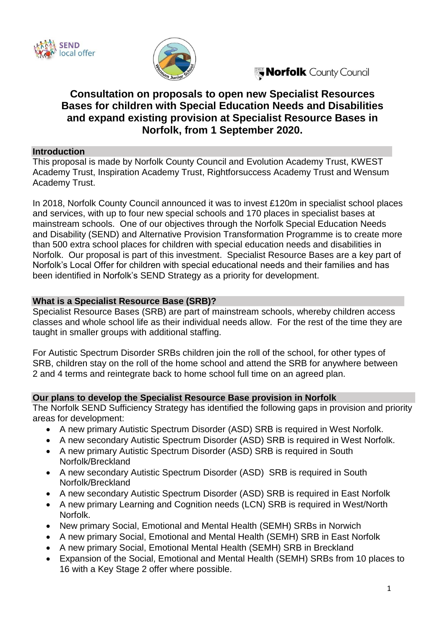



Norfolk County Council

# **Consultation on proposals to open new Specialist Resources Bases for children with Special Education Needs and Disabilities and expand existing provision at Specialist Resource Bases in Norfolk, from 1 September 2020.**

#### **Introduction**

This proposal is made by Norfolk County Council and Evolution Academy Trust, KWEST Academy Trust, Inspiration Academy Trust, Rightforsuccess Academy Trust and Wensum Academy Trust.

In 2018, Norfolk County Council announced it was to invest £120m in specialist school places and services, with up to four new special schools and 170 places in specialist bases at mainstream schools. One of our objectives through the Norfolk Special Education Needs and Disability (SEND) and Alternative Provision Transformation Programme is to create more than 500 extra school places for children with special education needs and disabilities in Norfolk. Our proposal is part of this investment. Specialist Resource Bases are a key part of Norfolk's Local Offer for children with special educational needs and their families and has been identified in Norfolk's SEND Strategy as a priority for development.

### **What is a Specialist Resource Base (SRB)?**

Specialist Resource Bases (SRB) are part of mainstream schools, whereby children access classes and whole school life as their individual needs allow. For the rest of the time they are taught in smaller groups with additional staffing.

For Autistic Spectrum Disorder SRBs children join the roll of the school, for other types of SRB, children stay on the roll of the home school and attend the SRB for anywhere between 2 and 4 terms and reintegrate back to home school full time on an agreed plan.

### **Our plans to develop the Specialist Resource Base provision in Norfolk**

The Norfolk SEND Sufficiency Strategy has identified the following gaps in provision and priority areas for development:

- A new primary Autistic Spectrum Disorder (ASD) SRB is required in West Norfolk.
- A new secondary Autistic Spectrum Disorder (ASD) SRB is required in West Norfolk.
- A new primary Autistic Spectrum Disorder (ASD) SRB is required in South Norfolk/Breckland
- A new secondary Autistic Spectrum Disorder (ASD) SRB is required in South Norfolk/Breckland
- A new secondary Autistic Spectrum Disorder (ASD) SRB is required in East Norfolk
- A new primary Learning and Cognition needs (LCN) SRB is required in West/North Norfolk.
- New primary Social, Emotional and Mental Health (SEMH) SRBs in Norwich
- A new primary Social, Emotional and Mental Health (SEMH) SRB in East Norfolk
- A new primary Social, Emotional Mental Health (SEMH) SRB in Breckland
- Expansion of the Social, Emotional and Mental Health (SEMH) SRBs from 10 places to 16 with a Key Stage 2 offer where possible.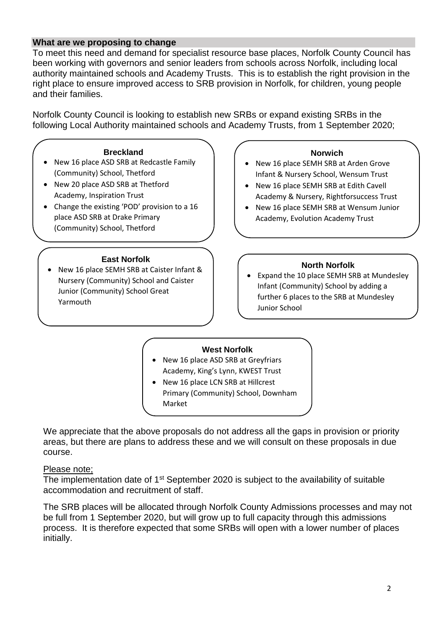# **What are we proposing to change**

To meet this need and demand for specialist resource base places, Norfolk County Council has been working with governors and senior leaders from schools across Norfolk, including local authority maintained schools and Academy Trusts. This is to establish the right provision in the right place to ensure improved access to SRB provision in Norfolk, for children, young people and their families.

Norfolk County Council is looking to establish new SRBs or expand existing SRBs in the following Local Authority maintained schools and Academy Trusts, from 1 September 2020;

#### **Breckland**

- New 16 place ASD SRB at Redcastle Family (Community) School, Thetford
- New 20 place ASD SRB at Thetford Academy, Inspiration Trust
- Change the existing 'POD' provision to a 16 place ASD SRB at Drake Primary (Community) School, Thetford

#### **East Norfolk**

• New 16 place SEMH SRB at Caister Infant & Nursery (Community) School and Caister Junior (Community) School Great Yarmouth

#### **Norwich**

- New 16 place SEMH SRB at Arden Grove Infant & Nursery School, Wensum Trust
- New 16 place SEMH SRB at Edith Cavell Academy & Nursery, Rightforsuccess Trust
- New 16 place SEMH SRB at Wensum Junior Academy, Evolution Academy Trust

#### **North Norfolk**

• Expand the 10 place SEMH SRB at Mundesley Infant (Community) School by adding a further 6 places to the SRB at Mundesley Junior School

#### **West Norfolk**

- New 16 place ASD SRB at Greyfriars Academy, King's Lynn, KWEST Trust
- New 16 place LCN SRB at Hillcrest Primary (Community) School, Downham Market

We appreciate that the above proposals do not address all the gaps in provision or priority areas, but there are plans to address these and we will consult on these proposals in due course.

### Please note;

The implementation date of 1<sup>st</sup> September 2020 is subject to the availability of suitable accommodation and recruitment of staff.

The SRB places will be allocated through Norfolk County Admissions processes and may not be full from 1 September 2020, but will grow up to full capacity through this admissions process. It is therefore expected that some SRBs will open with a lower number of places initially.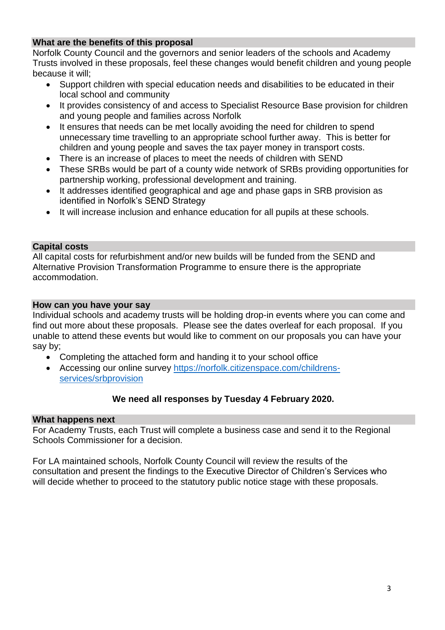# **What are the benefits of this proposal**

Norfolk County Council and the governors and senior leaders of the schools and Academy Trusts involved in these proposals, feel these changes would benefit children and young people because it will;

- Support children with special education needs and disabilities to be educated in their local school and community
- It provides consistency of and access to Specialist Resource Base provision for children and young people and families across Norfolk
- It ensures that needs can be met locally avoiding the need for children to spend unnecessary time travelling to an appropriate school further away. This is better for children and young people and saves the tax payer money in transport costs.
- There is an increase of places to meet the needs of children with SEND
- These SRBs would be part of a county wide network of SRBs providing opportunities for partnership working, professional development and training.
- It addresses identified geographical and age and phase gaps in SRB provision as identified in Norfolk's SEND Strategy
- It will increase inclusion and enhance education for all pupils at these schools.

# **Capital costs**

All capital costs for refurbishment and/or new builds will be funded from the SEND and Alternative Provision Transformation Programme to ensure there is the appropriate accommodation.

### **How can you have your say**

Individual schools and academy trusts will be holding drop-in events where you can come and find out more about these proposals. Please see the dates overleaf for each proposal. If you unable to attend these events but would like to comment on our proposals you can have your say by;

- Completing the attached form and handing it to your school office
- Accessing our online survey [https://norfolk.citizenspace.com/childrens](https://norfolk.citizenspace.com/childrens-services/srbprovision)[services/srbprovision](https://norfolk.citizenspace.com/childrens-services/srbprovision)

# **We need all responses by Tuesday 4 February 2020.**

### **What happens next**

For Academy Trusts, each Trust will complete a business case and send it to the Regional Schools Commissioner for a decision.

For LA maintained schools, Norfolk County Council will review the results of the consultation and present the findings to the Executive Director of Children's Services who will decide whether to proceed to the statutory public notice stage with these proposals.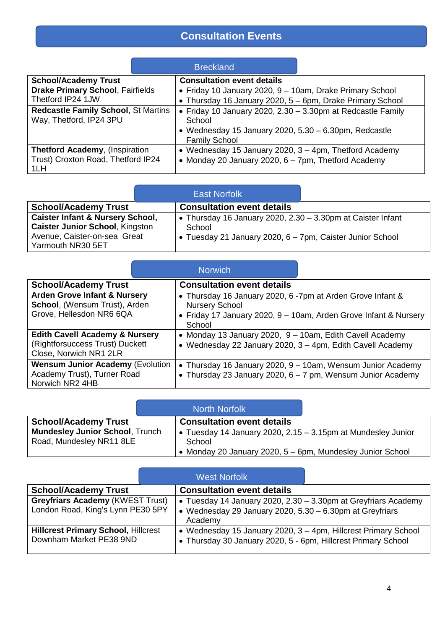# **Consultation Events**

|                                                                                     |  | <b>Breckland</b>                                                                                                                                          |  |  |
|-------------------------------------------------------------------------------------|--|-----------------------------------------------------------------------------------------------------------------------------------------------------------|--|--|
| <b>School/Academy Trust</b>                                                         |  | <b>Consultation event details</b>                                                                                                                         |  |  |
| <b>Drake Primary School, Fairfields</b><br>Thetford IP24 1JW                        |  | • Friday 10 January 2020, 9 - 10am, Drake Primary School<br>• Thursday 16 January 2020, 5 - 6pm, Drake Primary School                                     |  |  |
| Redcastle Family School, St Martins<br>Way, Thetford, IP24 3PU                      |  | • Friday 10 January 2020, 2.30 - 3.30pm at Redcastle Family<br>School<br>• Wednesday 15 January 2020, $5.30 - 6.30$ pm, Redcastle<br><b>Family School</b> |  |  |
| <b>Thetford Academy, (Inspiration)</b><br>Trust) Croxton Road, Thetford IP24<br>1LH |  | • Wednesday 15 January 2020, 3 - 4pm, Thetford Academy<br>• Monday 20 January 2020, 6 - 7pm, Thetford Academy                                             |  |  |

|                                                                                                                                            | <b>East Norfolk</b>                                                                                                                |  |
|--------------------------------------------------------------------------------------------------------------------------------------------|------------------------------------------------------------------------------------------------------------------------------------|--|
| <b>School/Academy Trust</b>                                                                                                                | <b>Consultation event details</b>                                                                                                  |  |
| <b>Caister Infant &amp; Nursery School,</b><br><b>Caister Junior School, Kingston</b><br>Avenue, Caister-on-sea Great<br>Yarmouth NR30 5ET | • Thursday 16 January 2020, 2.30 - 3.30pm at Caister Infant<br>School<br>• Tuesday 21 January 2020, 6 – 7pm, Caister Junior School |  |

|                                                                                                        |  | <b>Norwich</b>                                                                                                                                                    |                                                                                                                            |  |
|--------------------------------------------------------------------------------------------------------|--|-------------------------------------------------------------------------------------------------------------------------------------------------------------------|----------------------------------------------------------------------------------------------------------------------------|--|
| <b>School/Academy Trust</b>                                                                            |  | <b>Consultation event details</b>                                                                                                                                 |                                                                                                                            |  |
| <b>Arden Grove Infant &amp; Nursery</b><br>School, (Wensum Trust), Arden<br>Grove, Hellesdon NR6 6QA   |  | • Thursday 16 January 2020, 6 -7pm at Arden Grove Infant &<br><b>Nursery School</b><br>• Friday 17 January 2020, 9 - 10am, Arden Grove Infant & Nursery<br>School |                                                                                                                            |  |
| <b>Edith Cavell Academy &amp; Nursery</b><br>(Rightforsuccess Trust) Duckett<br>Close, Norwich NR1 2LR |  | • Monday 13 January 2020, 9 - 10am, Edith Cavell Academy<br>• Wednesday 22 January 2020, 3 - 4pm, Edith Cavell Academy                                            |                                                                                                                            |  |
| <b>Wensum Junior Academy (Evolution</b><br>Academy Trust), Turner Road<br>Norwich NR2 4HB              |  |                                                                                                                                                                   | • Thursday 16 January 2020, 9 – 10am, Wensum Junior Academy<br>• Thursday 23 January 2020, 6 - 7 pm, Wensum Junior Academy |  |

|                                                                    |  | <b>North Norfolk</b>                                                                                                               |  |
|--------------------------------------------------------------------|--|------------------------------------------------------------------------------------------------------------------------------------|--|
| <b>School/Academy Trust</b>                                        |  | <b>Consultation event details</b>                                                                                                  |  |
| <b>Mundesley Junior School, Trunch</b><br>Road, Mundesley NR11 8LE |  | • Tuesday 14 January 2020, 2.15 – 3.15pm at Mundesley Junior<br>School<br>Monday 20 January 2020, 5 - 6pm, Mundesley Junior School |  |

|                                                                              | <b>West Norfolk</b> |                                                                                                                                       |  |  |
|------------------------------------------------------------------------------|---------------------|---------------------------------------------------------------------------------------------------------------------------------------|--|--|
| <b>School/Academy Trust</b>                                                  |                     | <b>Consultation event details</b>                                                                                                     |  |  |
| <b>Greyfriars Academy (KWEST Trust)</b><br>London Road, King's Lynn PE30 5PY |                     | • Tuesday 14 January 2020, 2.30 – 3.30pm at Greyfriars Academy<br>• Wednesday 29 January 2020, 5.30 - 6.30pm at Greyfriars<br>Academy |  |  |
| <b>Hillcrest Primary School, Hillcrest</b><br>Downham Market PE38 9ND        |                     | • Wednesday 15 January 2020, 3 - 4pm, Hillcrest Primary School<br>• Thursday 30 January 2020, 5 - 6pm, Hillcrest Primary School       |  |  |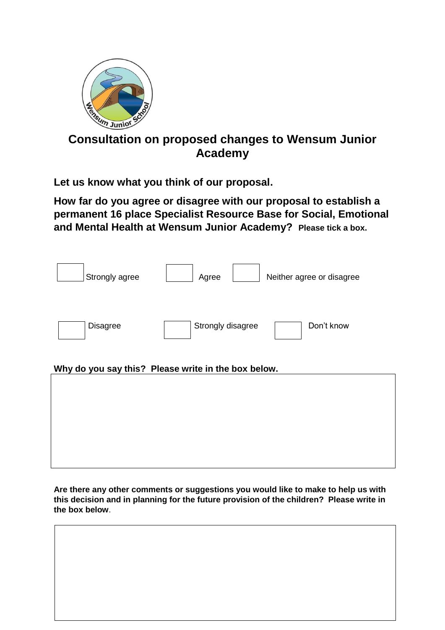

# **Consultation on proposed changes to Wensum Junior Academy**

**Let us know what you think of our proposal.**

**How far do you agree or disagree with our proposal to establish a permanent 16 place Specialist Resource Base for Social, Emotional and Mental Health at Wensum Junior Academy? Please tick a box.**

| Strongly agree  | Agree<br>Neither agree or disagree                  |  |
|-----------------|-----------------------------------------------------|--|
| <b>Disagree</b> | Strongly disagree<br>Don't know                     |  |
|                 |                                                     |  |
|                 | Why do you say this? Please write in the box below. |  |
|                 |                                                     |  |
|                 |                                                     |  |

**Are there any other comments or suggestions you would like to make to help us with this decision and in planning for the future provision of the children? Please write in the box below**.